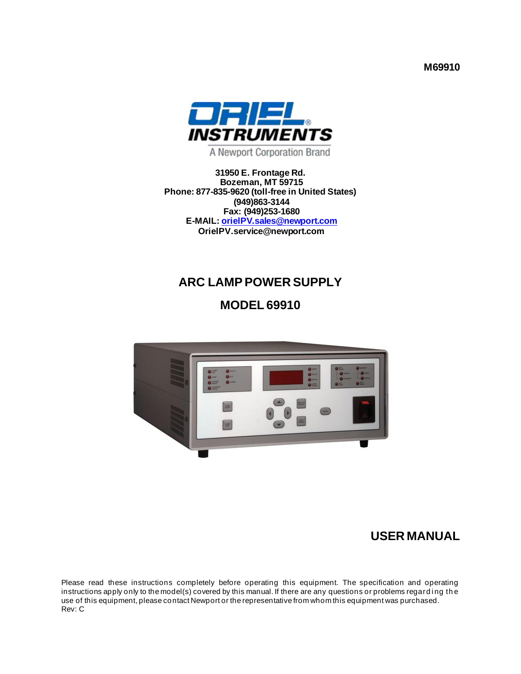**M69910**



A Newport Corporation Brand

**31950 E. Frontage Rd. Bozeman, MT 59715 Phone: 877-835-9620 (toll-free in United States) (949)863-3144 Fax: (949)253-1680 E-MAIL[: orielPV.sales@newport.com](mailto:orielPV.sales@newport.com) OrielPV.service@newport.com**

# **ARC LAMP POWER SUPPLY**

**MODEL 69910**



## **USER MANUAL**

Please read these instructions completely before operating this equipment. The specification and operating instructions apply only to the model(s) covered by this manual. If there are any questions or problems regarding the use of this equipment, please contact Newport or the representative from whom this equipment was purchased. Rev: C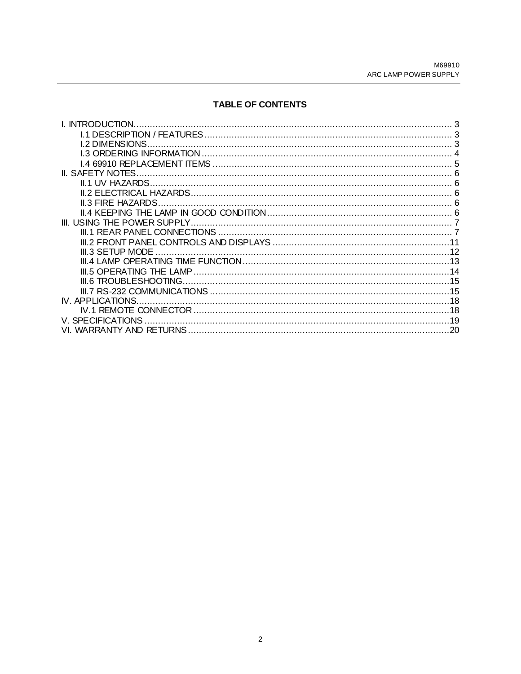## TABLE OF CONTENTS

| I. INTRODUCTION          |    |
|--------------------------|----|
|                          |    |
| <b>L2 DIMENSIONS</b>     |    |
|                          |    |
|                          |    |
| IL SAFETY NOTES.         |    |
|                          |    |
|                          |    |
| <b>IL3 FIRE HAZARDS.</b> |    |
|                          |    |
|                          |    |
|                          |    |
|                          |    |
| III.3 SETUP MODE         |    |
|                          |    |
|                          |    |
|                          |    |
|                          |    |
| IV. APPLICATIONS.        |    |
|                          |    |
| V SPECIFICATIONS         |    |
|                          | 20 |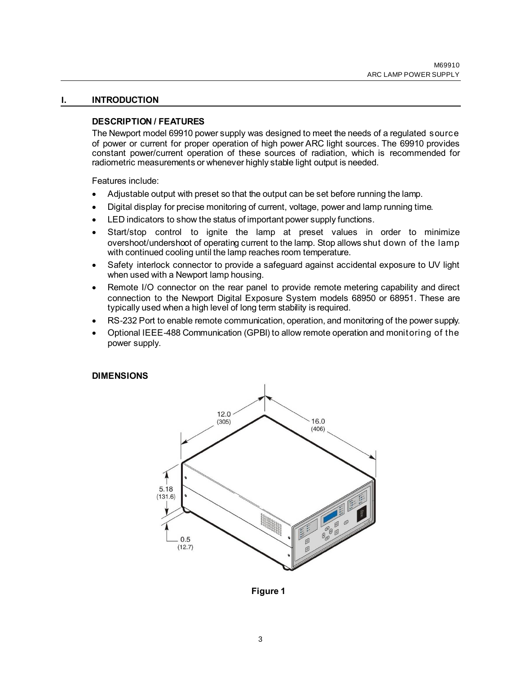#### **I. INTRODUCTION**

#### <span id="page-2-1"></span><span id="page-2-0"></span>**DESCRIPTION / FEATURES**

The Newport model 69910 power supply was designed to meet the needs of a regulated source of power or current for proper operation of high power ARC light sources. The 69910 provides constant power/current operation of these sources of radiation, which is recommended for radiometric measurements or whenever highly stable light output is needed.

Features include:

- Adjustable output with preset so that the output can be set before running the lamp.
- Digital display for precise monitoring of current, voltage, power and lamp running time.
- LED indicators to show the status of important power supply functions.
- Start/stop control to ignite the lamp at preset values in order to minimize overshoot/undershoot of operating current to the lamp. Stop allows shut down of the lamp with continued cooling until the lamp reaches room temperature.
- Safety interlock connector to provide a safeguard against accidental exposure to UV light when used with a Newport lamp housing.
- Remote I/O connector on the rear panel to provide remote metering capability and direct connection to the Newport Digital Exposure System models 68950 or 68951. These are typically used when a high level of long term stability is required.
- RS-232 Port to enable remote communication, operation, and monitoring of the power supply.
- Optional IEEE-488 Communication (GPBI) to allow remote operation and monitoring of the power supply.

#### <span id="page-2-2"></span>**DIMENSIONS**



**Figure 1**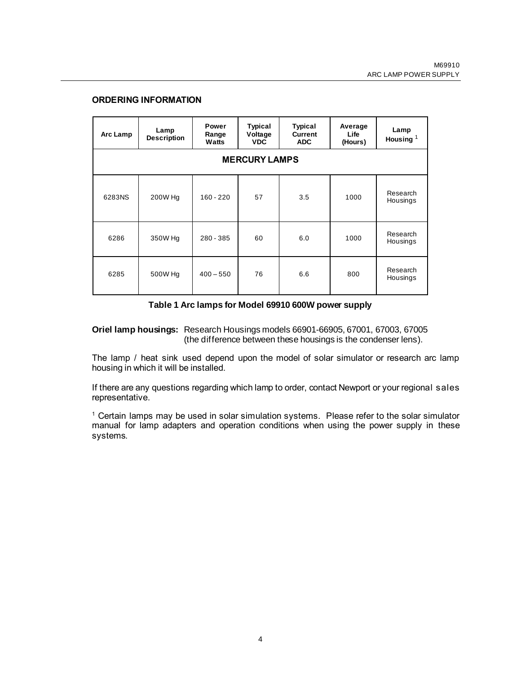#### <span id="page-3-0"></span>**ORDERING INFORMATION**

| Arc Lamp             | Lamp<br><b>Description</b> | Power<br>Range<br>Watts | <b>Typical</b><br>Voltage<br><b>VDC</b> | <b>Typical</b><br><b>Current</b><br><b>ADC</b> | Average<br>Life<br>(Hours) | Lamp<br>Housing $1$  |
|----------------------|----------------------------|-------------------------|-----------------------------------------|------------------------------------------------|----------------------------|----------------------|
| <b>MERCURY LAMPS</b> |                            |                         |                                         |                                                |                            |                      |
| 6283NS               | 200W Hg                    | $160 - 220$             | 57                                      | 3.5                                            | 1000                       | Research<br>Housings |
| 6286                 | 350W Hg                    | 280 - 385               | 60                                      | 6.0                                            | 1000                       | Research<br>Housings |
| 6285                 | 500W Hg                    | $400 - 550$             | 76                                      | 6.6                                            | 800                        | Research<br>Housings |

#### **Table 1 Arc lamps for Model 69910 600W power supply**

<span id="page-3-1"></span>**Oriel lamp housings:** Research Housings models 66901-66905, 67001, 67003, 67005 (the difference between these housings is the condenser lens).

The lamp / heat sink used depend upon the model of solar simulator or research arc lamp housing in which it will be installed.

If there are any questions regarding which lamp to order, contact Newport or your regional sales representative.

 $1$  Certain lamps may be used in solar simulation systems. Please refer to the solar simulator manual for lamp adapters and operation conditions when using the power supply in these systems.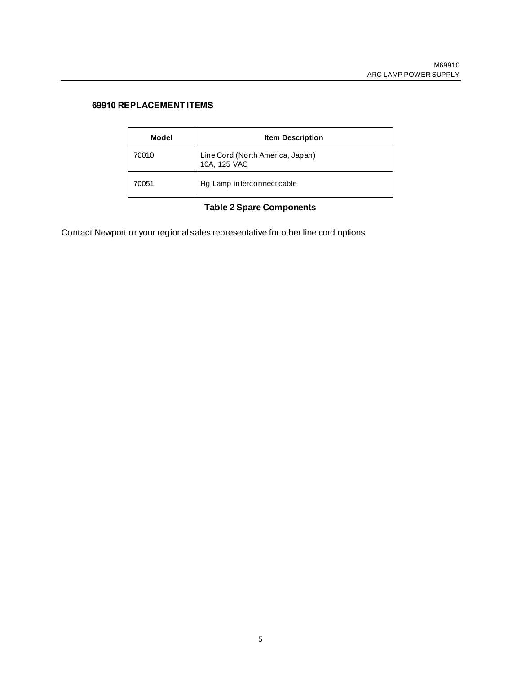## <span id="page-4-0"></span>**69910 REPLACEMENT ITEMS**

| Model | <b>Item Description</b>                          |
|-------|--------------------------------------------------|
| 70010 | Line Cord (North America, Japan)<br>10A, 125 VAC |
| 70051 | Hg Lamp interconnect cable                       |

## **Table 2 Spare Components**

Contact Newport or your regional sales representative for other line cord options.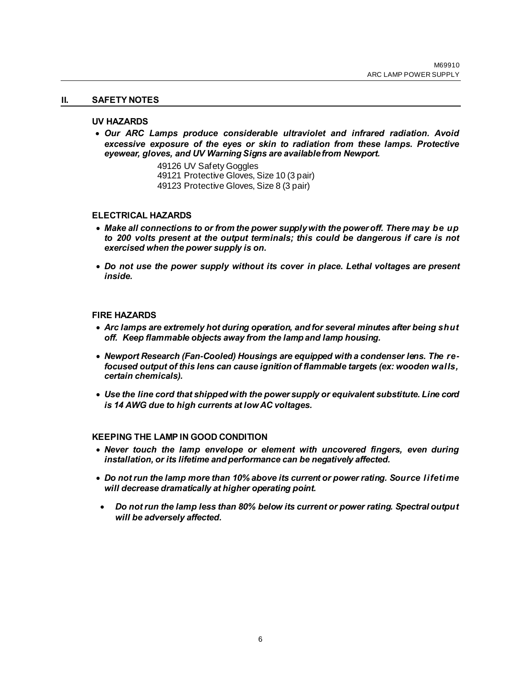#### **II. SAFETY NOTES**

#### <span id="page-5-1"></span><span id="page-5-0"></span>**UV HAZARDS**

- *Our ARC Lamps produce considerable ultraviolet and infrared radiation. Avoid excessive exposure of the eyes or skin to radiation from these lamps. Protective eyewear, gloves, and UV Warning Signs are available from Newport.*
	- 49126 UV Safety Goggles
	- 49121 Protective Gloves, Size 10 (3 pair)
	- 49123 Protective Gloves, Size 8 (3 pair)

#### <span id="page-5-2"></span>**ELECTRICAL HAZARDS**

- *Make all connections to or from the power supply with the power off. There may be up to 200 volts present at the output terminals; this could be dangerous if care is not exercised when the power supply is on.*
- *Do not use the power supply without its cover in place. Lethal voltages are present inside.*

#### <span id="page-5-3"></span>**FIRE HAZARDS**

- *Arc lamps are extremely hot during operation, and for several minutes after being shut off. Keep flammable objects away from the lamp and lamp housing.*
- *Newport Research (Fan-Cooled) Housings are equipped with a condenser lens. The refocused output of this lens can cause ignition of flammable targets (ex: wooden walls, certain chemicals).*
- *Use the line cord that shipped with the power supply or equivalent substitute. Line cord is 14 AWG due to high currents at low AC voltages.*

#### <span id="page-5-4"></span>**KEEPING THE LAMP IN GOOD CONDITION**

- *Never touch the lamp envelope or element with uncovered fingers, even during installation, or its lifetime and performance can be negatively affected.*
- *Do not run the lamp more than 10% above its current or power rating. Source lifetime will decrease dramatically at higher operating point.*
- *Do not run the lamp less than 80% below its current or power rating. Spectral output will be adversely affected.*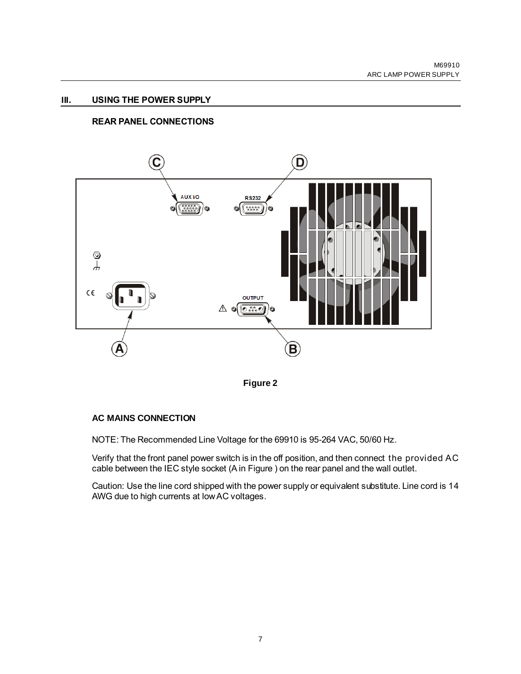#### **III. USING THE POWER SUPPLY**

#### <span id="page-6-1"></span><span id="page-6-0"></span>**REAR PANEL CONNECTIONS**





## **AC MAINS CONNECTION**

NOTE: The Recommended Line Voltage for the 69910 is 95-264 VAC, 50/60 Hz.

Verify that the front panel power switch is in the off position, and then connect the provided AC cable between the IEC style socket (A in Figure ) on the rear panel and the wall outlet.

Caution: Use the line cord shipped with the power supply or equivalent substitute. Line cord is 14 AWG due to high currents at low AC voltages.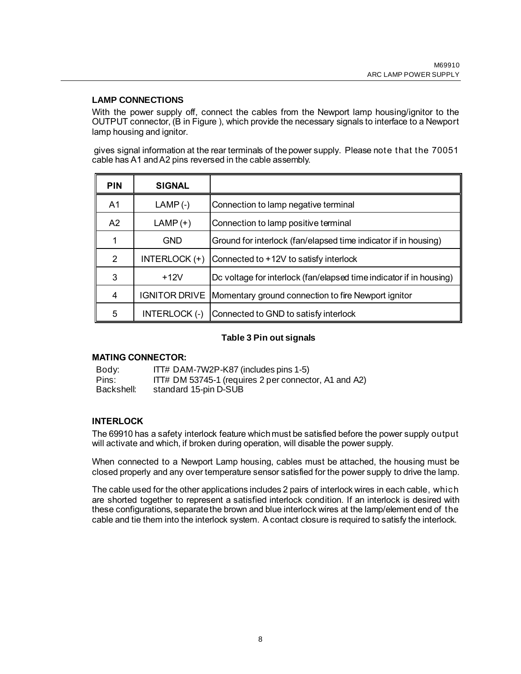## **LAMP CONNECTIONS**

With the power supply off, connect the cables from the Newport lamp housing/ignitor to the OUTPUT connector, (B in Figure ), which provide the necessary signals to interface to a Newport lamp housing and ignitor.

gives signal information at the rear terminals of the power supply. Please note that the 70051 cable has A1 and A2 pins reversed in the cable assembly.

| <b>PIN</b> | <b>SIGNAL</b>        |                                                                     |
|------------|----------------------|---------------------------------------------------------------------|
| A1         | $LAMP (-)$           | Connection to lamp negative terminal                                |
| A2         | $LAND (+)$           | Connection to lamp positive terminal                                |
|            | GND                  | Ground for interlock (fan/elapsed time indicator if in housing)     |
| 2          | INTERLOCK (+)        | Connected to +12V to satisfy interlock                              |
| 3          | $+12V$               | Dc voltage for interlock (fan/elapsed time indicator if in housing) |
| 4          | <b>IGNITOR DRIVE</b> | Momentary ground connection to fire Newport ignitor                 |
| 5          | INTERLOCK (-)        | Connected to GND to satisfy interlock                               |

#### **Table 3 Pin out signals**

#### **MATING CONNECTOR:**

Body: ITT# DAM-7W2P-K87 (includes pins 1-5) Pins: ITT# DM 53745-1 (requires 2 per connector, A1 and A2)<br>Backshell: standard 15-pin D-SUB standard 15-pin D-SUB

## **INTERLOCK**

The 69910 has a safety interlock feature which must be satisfied before the power supply output will activate and which, if broken during operation, will disable the power supply.

When connected to a Newport Lamp housing, cables must be attached, the housing must be closed properly and any over temperature sensor satisfied for the power supply to drive the lamp.

The cable used for the other applications includes 2 pairs of interlock wires in each cable, which are shorted together to represent a satisfied interlock condition. If an interlock is desired with these configurations, separate the brown and blue interlock wires at the lamp/element end of the cable and tie them into the interlock system. A contact closure is required to satisfy the interlock.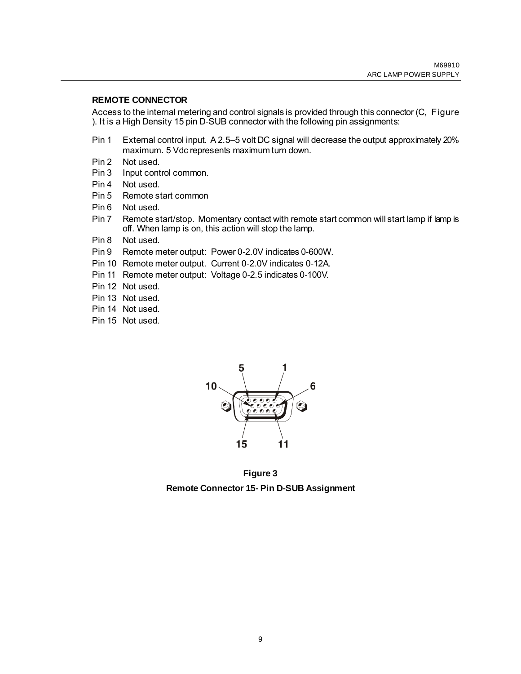#### **REMOTE CONNECTOR**

Access to the internal metering and control signals is provided through this connector (C, Figure ). It is a High Density 15 pin D-SUB connector with the following pin assignments:

- Pin 1 External control input. A 2.5–5 volt DC signal will decrease the output approximately 20% maximum. 5 Vdc represents maximum turn down.
- Pin 2 Not used.
- Pin 3 Input control common.
- Pin 4 Not used.
- Pin 5 Remote start common
- Pin 6 Not used.
- Pin 7 Remote start/stop. Momentary contact with remote start common will start lamp if lamp is off. When lamp is on, this action will stop the lamp.
- Pin 8 Not used.
- Pin 9 Remote meter output: Power 0-2.0V indicates 0-600W.
- Pin 10 Remote meter output. Current 0-2.0V indicates 0-12A.
- Pin 11 Remote meter output: Voltage 0-2.5 indicates 0-100V.
- Pin 12 Not used.
- Pin 13 Not used.
- Pin 14 Not used.
- Pin 15 Not used.



**Figure 3 Remote Connector 15- Pin D-SUB Assignment**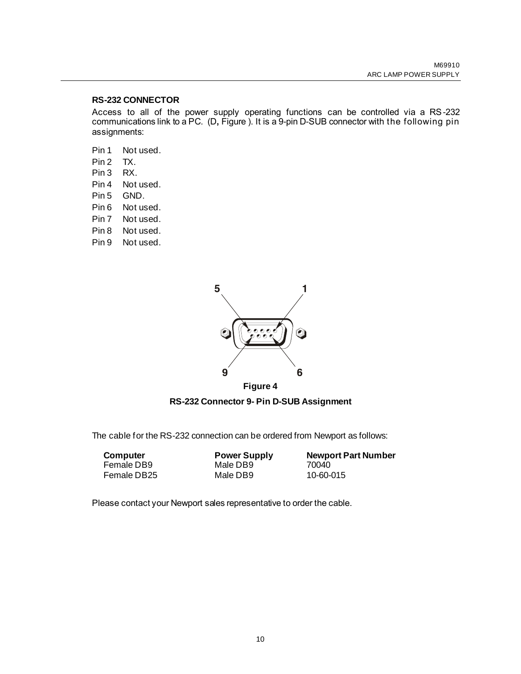#### **RS-232 CONNECTOR**

Access to all of the power supply operating functions can be controlled via a RS-232 communications link to a PC. (D**,** Figure ). It is a 9-pin D-SUB connector with the following pin assignments:

- Pin 1 Not used.
- Pin 2 TX.
- Pin 3 RX.
- Pin 4 Not used.
- Pin 5 GND.
- Pin 6 Not used.
- Pin 7 Not used.
- Pin 8 Not used.
- Pin 9 Not used.



**Figure 4**

**RS-232 Connector 9- Pin D-SUB Assignment**

The cable for the RS-232 connection can be ordered from Newport as follows:

| Computer    | <b>Power Supply</b> | <b>Newport Part Number</b> |
|-------------|---------------------|----------------------------|
| Female DB9  | Male DB9            | 70040                      |
| Female DB25 | Male DB9            | 10-60-015                  |

Please contact your Newport sales representative to order the cable.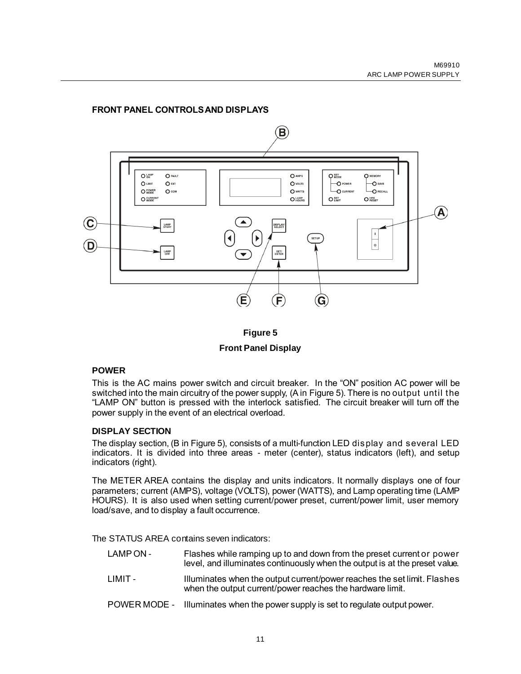## <span id="page-10-0"></span>**FRONT PANEL CONTROLS AND DISPLAYS**



**Figure 5 Front Panel Display**

#### <span id="page-10-1"></span>**POWER**

This is the AC mains power switch and circuit breaker. In the "ON" position AC power will be switched into the main circuitry of the power supply, (A in Figure 5). There is no output until the "LAMP ON" button is pressed with the interlock satisfied. The circuit breaker will turn off the power supply in the event of an electrical overload.

#### **DISPLAY SECTION**

The display section, (B in Figure 5), consists of a multi-function LED display and several LED indicators. It is divided into three areas - meter (center), status indicators (left), and setup indicators (right).

The METER AREA contains the display and units indicators. It normally displays one of four parameters; current (AMPS), voltage (VOLTS), power (WATTS), and Lamp operating time (LAMP HOURS). It is also used when setting current/power preset, current/power limit, user memory load/save, and to display a fault occurrence.

The STATUS AREA contains seven indicators:

- LAMP ON Flashes while ramping up to and down from the preset current or power level, and illuminates continuously when the output is at the preset value.
- LIMIT Illuminates when the output current/power reaches the set limit. Flashes when the output current/power reaches the hardware limit.
- POWER MODE Illuminates when the power supply is set to regulate output power.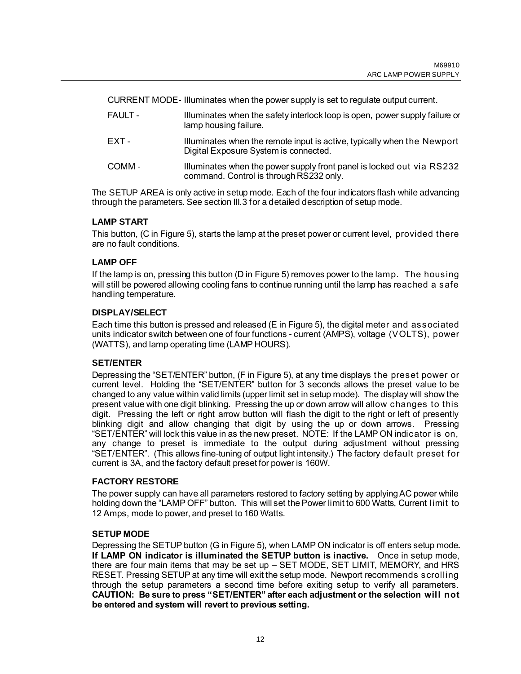CURRENT MODE- Illuminates when the power supply is set to regulate output current.

- FAULT Illuminates when the safety interlock loop is open, power supply failure or lamp housing failure.
- EXT Illuminates when the remote input is active, typically when the Newport Digital Exposure System is connected.
- COMM Illuminates when the power supply front panel is locked out via RS232 command. Control is through RS232 only.

The SETUP AREA is only active in setup mode. Each of the four indicators flash while advancing through the parameters. See section III.3 for a detailed description of setup mode.

## **LAMP START**

This button, (C in [Figure 5\),](#page-10-1) starts the lamp at the preset power or current level, provided there are no fault conditions.

#### **LAMP OFF**

If the lamp is on, pressing this button (D in [Figure 5\) re](#page-10-1)moves power to the lamp. The housing will still be powered allowing cooling fans to continue running until the lamp has reached a safe handling temperature.

#### **DISPLAY/SELECT**

Each time this button is pressed and released (E in [Figure 5\), t](#page-10-1)he digital meter and associated units indicator switch between one of four functions - current (AMPS), voltage (VOLTS), power (WATTS), and lamp operating time (LAMP HOURS).

#### **SET/ENTER**

Depressing the "SET/ENTER" button, (F in [Figure 5\),](#page-10-1) at any time displays the preset power or current level. Holding the "SET/ENTER" button for 3 seconds allows the preset value to be changed to any value within valid limits (upper limit set in setup mode). The display will show the present value with one digit blinking. Pressing the up or down arrow will allow changes to this digit. Pressing the left or right arrow button will flash the digit to the right or left of presently blinking digit and allow changing that digit by using the up or down arrows. Pressing "SET/ENTER" will lock this value in as the new preset. NOTE: If the LAMP ON indicator is on, any change to preset is immediate to the output during adjustment without pressing "SET/ENTER". (This allows fine-tuning of output light intensity.) The factory default preset for current is 3A, and the factory default preset for power is 160W.

#### **FACTORY RESTORE**

The power supply can have all parameters restored to factory setting by applying AC power while holding down the "LAMP OFF" button. This will set the Power limit to 600 Watts, Current limit to 12 Amps, mode to power, and preset to 160 Watts.

#### <span id="page-11-0"></span>**SETUP MODE**

Depressing the SETUP button (G in Figure 5), when LAMP ON indicator is off enters setup mode**. If LAMP ON indicator is illuminated the SETUP button is inactive.** Once in setup mode, there are four main items that may be set up – SET MODE, SET LIMIT, MEMORY, and HRS RESET. Pressing SETUP at any time will exit the setup mode. Newport recommends scrolling through the setup parameters a second time before exiting setup to verify all parameters. **CAUTION: Be sure to press "SET/ENTER" after each adjustment or the selection will not be entered and system will revert to previous setting.**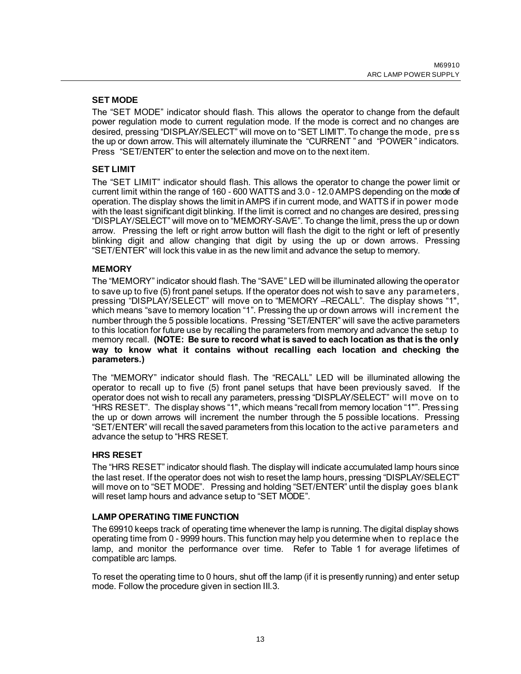#### **SET MODE**

The "SET MODE" indicator should flash. This allows the operator to change from the default power regulation mode to current regulation mode. If the mode is correct and no changes are desired, pressing "DISPLAY/SELECT" will move on to "SET LIMIT". To change the mode, pre ss the up or down arrow. This will alternately illuminate the "CURRENT " and "POWER " indicators. Press "SET/ENTER" to enter the selection and move on to the next item.

## **SET LIMIT**

The "SET LIMIT" indicator should flash. This allows the operator to change the power limit or current limit within the range of 160 - 600 WATTS and 3.0 - 12.0 AMPS depending on the mode of operation. The display shows the limit in AMPS if in current mode, and WATTS if in power mode with the least significant digit blinking. If the limit is correct and no changes are desired, pressing "DISPLAY/SELECT" will move on to "MEMORY-SAVE". To change the limit, press the up or down arrow. Pressing the left or right arrow button will flash the digit to the right or left of presently blinking digit and allow changing that digit by using the up or down arrows. Pressing "SET/ENTER" will lock this value in as the new limit and advance the setup to memory.

## **MEMORY**

The "MEMORY" indicator should flash. The "SAVE" LED will be illuminated allowing the operator to save up to five (5) front panel setups. If the operator does not wish to save any parameters, pressing "DISPLAY/SELECT" will move on to "MEMORY –RECALL". The display shows "1", which means "save to memory location "1". Pressing the up or down arrows will increment the number through the 5 possible locations. Pressing "SET/ENTER" will save the active parameters to this location for future use by recalling the parameters from memory and advance the setup to memory recall. **(NOTE: Be sure to record what is saved to each location as that is the only way to know what it contains without recalling each location and checking the parameters.)**

The "MEMORY" indicator should flash. The "RECALL" LED will be illuminated allowing the operator to recall up to five (5) front panel setups that have been previously saved. If the operator does not wish to recall any parameters, pressing "DISPLAY/SELECT" will move on to "HRS RESET". The display shows "1", which means "recall from memory location "1"". Pressing the up or down arrows will increment the number through the 5 possible locations. Pressing "SET/ENTER" will recall the saved parameters from this location to the active parameters and advance the setup to "HRS RESET.

#### **HRS RESET**

The "HRS RESET" indicator should flash. The display will indicate accumulated lamp hours since the last reset. If the operator does not wish to reset the lamp hours, pressing "DISPLAY/SELECT" will move on to "SET MODE". Pressing and holding "SET/ENTER" until the display goes blank will reset lamp hours and advance setup to "SET MODE".

#### <span id="page-12-0"></span>**LAMP OPERATING TIME FUNCTION**

The 69910 keeps track of operating time whenever the lamp is running. The digital display shows operating time from 0 - 9999 hours. This function may help you determine when to replace the lamp, and monitor the performance over time. Refer to [Table 1](#page-3-1) for average lifetimes of compatible arc lamps.

To reset the operating time to 0 hours, shut off the lamp (if it is presently running) and enter setup mode. Follow the procedure given in section III.3.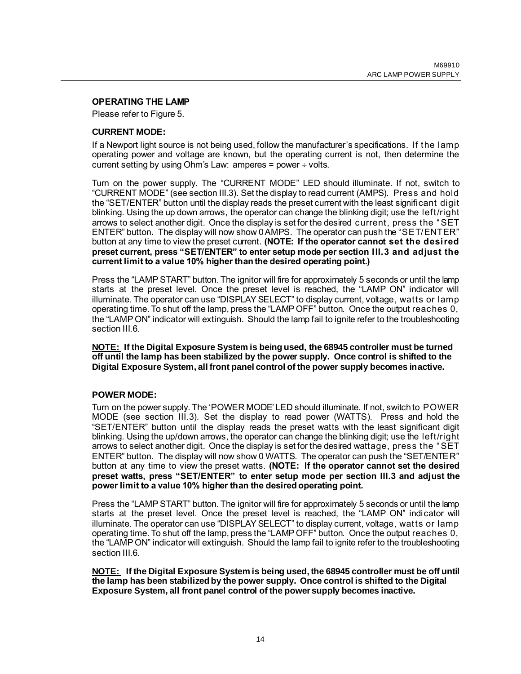#### <span id="page-13-0"></span>**OPERATING THE LAMP**

Please refer to [Figure 5.](#page-10-1)

## **CURRENT MODE:**

If a Newport light source is not being used, follow the manufacturer's specifications. If the lamp operating power and voltage are known, but the operating current is not, then determine the current setting by using Ohm's Law: amperes = power  $\div$  volts.

Turn on the power supply. The "CURRENT MODE" LED should illuminate. If not, switch to "CURRENT MODE" (see section III.3). Set the display to read current (AMPS). Press and hold the "SET/ENTER" button until the display reads the preset current with the least significant digit blinking. Using the up down arrows, the operator can change the blinking digit; use the left/right arrows to select another digit. Once the display is set for the desired current, press the "SET ENTER" button**.** The display will now show 0 AMPS. The operator can push the "SET/ENTER" button at any time to view the preset current. **(NOTE: If the operator cannot set the desired preset current, press "SET/ENTER" to enter setup mode per section III.3 and adjust the current limit to a value 10% higher than the desired operating point.)**

Press the "LAMP START" button. The ignitor will fire for approximately 5 seconds or until the lamp starts at the preset level. Once the preset level is reached, the "LAMP ON" indicator will illuminate. The operator can use "DISPLAY SELECT" to display current, voltage, watts or lamp operating time. To shut off the lamp, press the "LAMP OFF" button. Once the output reaches 0, the "LAMP ON" indicator will extinguish. Should the lamp fail to ignite refer to the troubleshooting section III.6.

**NOTE: If the Digital Exposure System is being used, the 68945 controller must be turned off until the lamp has been stabilized by the power supply. Once control is shifted to the Digital Exposure System, all front panel control of the power supply becomes inactive.**

#### **POWER MODE:**

Turn on the power supply. The 'POWER MODE' LED should illuminate. If not, switch to POWER MODE (see section III.3). Set the display to read power (WATTS). Press and hold the "SET/ENTER" button until the display reads the preset watts with the least significant digit blinking. Using the up/down arrows, the operator can change the blinking digit; use the left/right arrows to select another digit. Once the display is set for the desired wattage, press the "SET ENTER" button.The display will now show 0 WATTS. The operator can push the "SET/ENTER" button at any time to view the preset watts. **(NOTE: If the operator cannot set the desired preset watts, press "SET/ENTER" to enter setup mode per section III.3 and adjust the power limit to a value 10% higher than the desired operating point.**

Press the "LAMP START" button. The ignitor will fire for approximately 5 seconds or until the lamp starts at the preset level. Once the preset level is reached, the "LAMP ON" indicator will illuminate. The operator can use "DISPLAY SELECT" to display current, voltage, watts or lamp operating time. To shut off the lamp, press the "LAMP OFF" button. Once the output reaches 0, the "LAMP ON" indicator will extinguish. Should the lamp fail to ignite refer to the troubleshooting section III.6.

**NOTE: If the Digital Exposure System is being used, the 68945 controller must be off until the lamp has been stabilized by the power supply. Once control is shifted to the Digital Exposure System, all front panel control of the power supply becomes inactive.**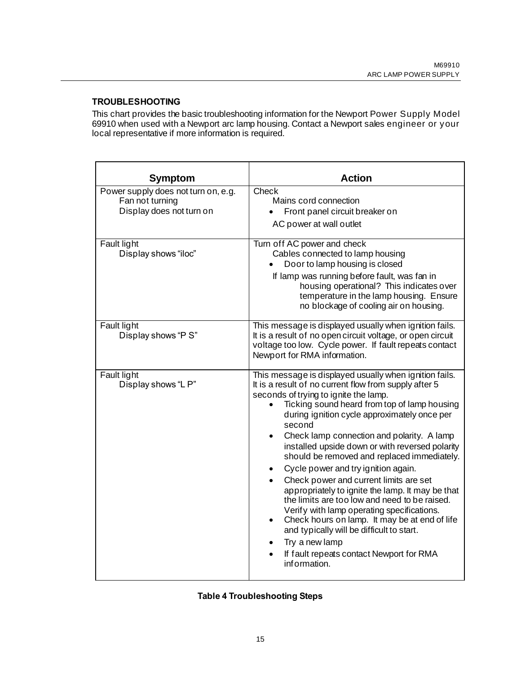#### <span id="page-14-0"></span>**TROUBLESHOOTING**

This chart provides the basic troubleshooting information for the Newport Power Supply Model 69910 when used with a Newport arc lamp housing. Contact a Newport sales engineer or your local representative if more information is required.

| <b>Symptom</b>                                                                     | <b>Action</b>                                                                                                                                                                                                                                                                                                                                                                                                                                                                                                                                                                                                                                                                                                                                                                                                                                                                          |
|------------------------------------------------------------------------------------|----------------------------------------------------------------------------------------------------------------------------------------------------------------------------------------------------------------------------------------------------------------------------------------------------------------------------------------------------------------------------------------------------------------------------------------------------------------------------------------------------------------------------------------------------------------------------------------------------------------------------------------------------------------------------------------------------------------------------------------------------------------------------------------------------------------------------------------------------------------------------------------|
| Power supply does not turn on, e.g.<br>Fan not turning<br>Display does not turn on | <b>Check</b><br>Mains cord connection<br>Front panel circuit breaker on<br>AC power at wall outlet                                                                                                                                                                                                                                                                                                                                                                                                                                                                                                                                                                                                                                                                                                                                                                                     |
| <b>Fault light</b><br>Display shows "iloc"                                         | Turn off AC power and check<br>Cables connected to lamp housing<br>Door to lamp housing is closed<br>If lamp was running before fault, was fan in<br>housing operational? This indicates over<br>temperature in the lamp housing. Ensure<br>no blockage of cooling air on housing.                                                                                                                                                                                                                                                                                                                                                                                                                                                                                                                                                                                                     |
| <b>Fault light</b><br>Display shows "P S"                                          | This message is displayed usually when ignition fails.<br>It is a result of no open circuit voltage, or open circuit<br>voltage too low. Cycle power. If fault repeats contact<br>Newport for RMA information.                                                                                                                                                                                                                                                                                                                                                                                                                                                                                                                                                                                                                                                                         |
| Fault light<br>Display shows "LP"                                                  | This message is displayed usually when ignition fails.<br>It is a result of no current flow from supply after 5<br>seconds of trying to ignite the lamp.<br>Ticking sound heard from top of lamp housing<br>during ignition cycle approximately once per<br>second<br>Check lamp connection and polarity. A lamp<br>$\bullet$<br>installed upside down or with reversed polarity<br>should be removed and replaced immediately.<br>Cycle power and try ignition again.<br>$\bullet$<br>Check power and current limits are set<br>appropriately to ignite the lamp. It may be that<br>the limits are too low and need to be raised.<br>Verify with lamp operating specifications.<br>Check hours on lamp. It may be at end of life<br>$\bullet$<br>and typically will be difficult to start.<br>Try a new lamp<br>$\bullet$<br>If fault repeats contact Newport for RMA<br>information. |

<span id="page-14-1"></span>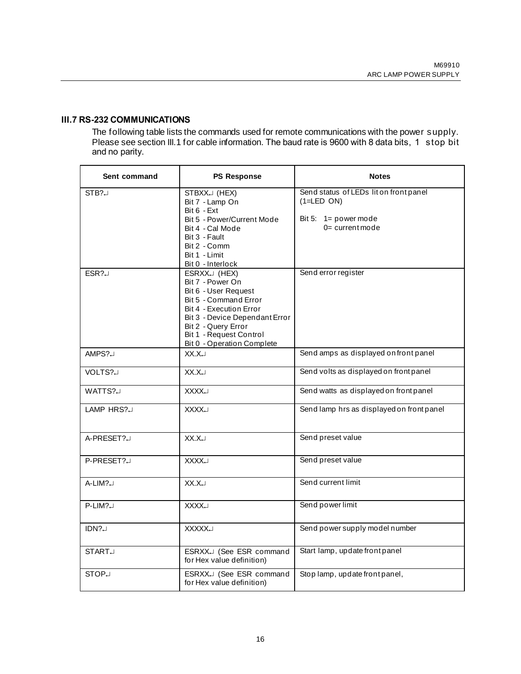## **III.7 RS-232 COMMUNICATIONS**

The following table lists the commands used for remote communications with the power supply. Please see section III.1 for cable information. The baud rate is 9600 with 8 data bits, 1 stop bit and no parity.

| Sent command       | <b>PS Response</b>                                                                                                                                                                                                             | <b>Notes</b>                                                                                            |  |
|--------------------|--------------------------------------------------------------------------------------------------------------------------------------------------------------------------------------------------------------------------------|---------------------------------------------------------------------------------------------------------|--|
| $STB? \Box$        | STBXX. (HEX)<br>Bit 7 - Lamp On<br>$Bit 6 - Ext$<br>Bit 5 - Power/Current Mode<br>Bit 4 - Cal Mode<br>Bit 3 - Fault<br>Bit 2 - Comm<br>Bit 1 - Limit<br>Bit 0 - Interlock                                                      | Send status of LEDs lit on front panel<br>$(1=LED ON)$<br>Bit 5: $1 = power mode$<br>$0 =$ current mode |  |
| $ESR? \Box$        | ESRXX. (HEX)<br>Bit 7 - Power On<br>Bit 6 - User Request<br>Bit 5 - Command Error<br>Bit 4 - Execution Error<br>Bit 3 - Device Dependant Error<br>Bit 2 - Query Error<br>Bit 1 - Request Control<br>Bit 0 - Operation Complete | Send error register                                                                                     |  |
| AMPS?J             | $XX.X \cup$                                                                                                                                                                                                                    | Send amps as displayed on front panel                                                                   |  |
| VOLTS?J            | $XX.X \cup$                                                                                                                                                                                                                    | Send volts as displayed on front panel                                                                  |  |
| WATTS?             | <b>LXXXX</b>                                                                                                                                                                                                                   | Send watts as displayed on front panel                                                                  |  |
| LAMP HRS?          | <b>XXXX</b>                                                                                                                                                                                                                    | Send lamp hrs as displayed on front panel                                                               |  |
| A-PRESET?          | XX.X                                                                                                                                                                                                                           | Send preset value                                                                                       |  |
| P-PRESET?          | <b>XXXX.J</b>                                                                                                                                                                                                                  | Send preset value                                                                                       |  |
| $A-LIM? \Box$      | XX.X                                                                                                                                                                                                                           | Send current limit                                                                                      |  |
| $P-LIM? \cup$      | <b>XXXX.J</b>                                                                                                                                                                                                                  | Send power limit                                                                                        |  |
| IDN?               | <b>XXXXX.J</b>                                                                                                                                                                                                                 | Send power supply model number                                                                          |  |
| START <sub>J</sub> | ESRXX.J (See ESR command<br>for Hex value definition)                                                                                                                                                                          | Start lamp, update front panel                                                                          |  |
| STOP <sub>J</sub>  | ESRXX. (See ESR command<br>for Hex value definition)                                                                                                                                                                           | Stop lamp, update front panel,                                                                          |  |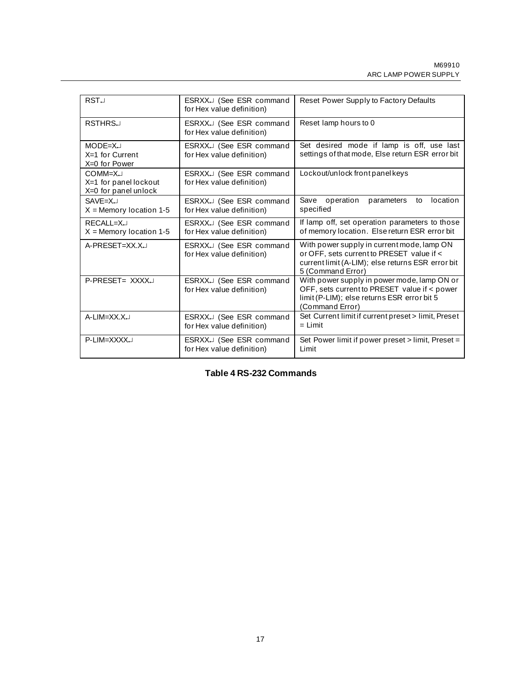| RST <sub>1</sub>                                         | ESRXX. (See ESR command<br>for Hex value definition)             | Reset Power Supply to Factory Defaults                                                                                                                            |  |
|----------------------------------------------------------|------------------------------------------------------------------|-------------------------------------------------------------------------------------------------------------------------------------------------------------------|--|
| <b>RSTHRS</b>                                            | ESRXX. (See ESR command<br>for Hex value definition)             | Reset lamp hours to 0                                                                                                                                             |  |
| $MODE = X \cup$<br>$X=1$ for Current<br>X=0 for Power    | ESRXX. (See ESR command<br>for Hex value definition)             | Set desired mode if lamp is off, use last<br>settings of that mode, Else return ESR error bit                                                                     |  |
| COMM=XJ<br>X=1 for panel lockout<br>X=0 for panel unlock | ESRXX <sup>1</sup> (See ESR command<br>for Hex value definition) | Lockout/unlock front panel keys                                                                                                                                   |  |
| $SAVF = X \cup$<br>$X =$ Memory location 1-5             | ESRXX <sup>1</sup> (See ESR command<br>for Hex value definition) | Save operation<br>location<br>parameters<br>to<br>specified                                                                                                       |  |
| $RFCAI I = X \Box$<br>$X =$ Memory location 1-5          | ESRXX. (See ESR command<br>for Hex value definition)             | If lamp off, set operation parameters to those<br>of memory location. Else return ESR error bit                                                                   |  |
| A-PRESET=XX.X.J                                          | ESRXXJ (See ESR command<br>for Hex value definition)             | With power supply in current mode, lamp ON<br>or OFF, sets current to PRESET value if <<br>current limit (A-LIM); else returns ESR error bit<br>5 (Command Error) |  |
| P-PRESET= XXXXJ                                          | ESRXX. (See ESR command<br>for Hex value definition)             | With power supply in power mode, lamp ON or<br>OFF, sets current to PRESET value if < power<br>limit (P-LIM); else returns ESR error bit 5<br>(Command Error)     |  |
| A-LIM=XX.X.                                              | ESRXX. (See ESR command<br>for Hex value definition)             | Set Current limit if current preset > limit, Preset<br>$=$ Limit                                                                                                  |  |
| P-LIM=XXXXJ                                              | ESRXX. (See ESR command<br>for Hex value definition)             | Set Power limit if power preset > limit, Preset =<br>Limit                                                                                                        |  |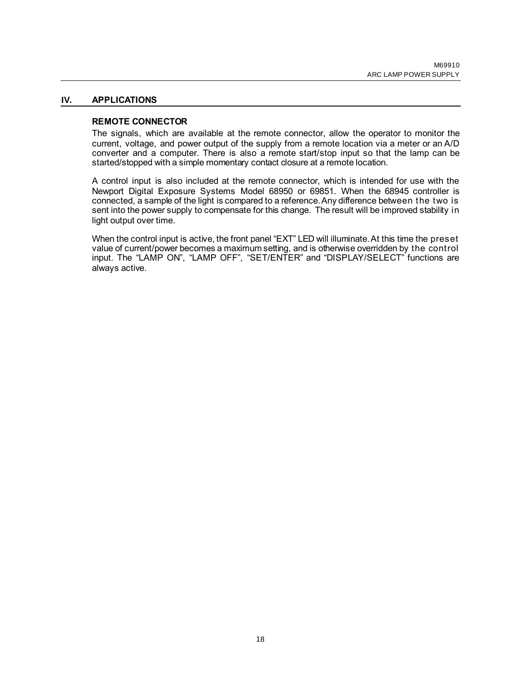#### **IV. APPLICATIONS**

#### <span id="page-17-1"></span><span id="page-17-0"></span>**REMOTE CONNECTOR**

The signals, which are available at the remote connector, allow the operator to monitor the current, voltage, and power output of the supply from a remote location via a meter or an A/D converter and a computer. There is also a remote start/stop input so that the lamp can be started/stopped with a simple momentary contact closure at a remote location.

A control input is also included at the remote connector, which is intended for use with the Newport Digital Exposure Systems Model 68950 or 69851. When the 68945 controller is connected, a sample of the light is compared to a reference. Any difference between the two is sent into the power supply to compensate for this change. The result will be improved stability in light output over time.

When the control input is active, the front panel "EXT" LED will illuminate. At this time the preset value of current/power becomes a maximum setting, and is otherwise overridden by the control input. The "LAMP ON", "LAMP OFF", "SET/ENTER" and "DISPLAY/SELECT" functions are always active.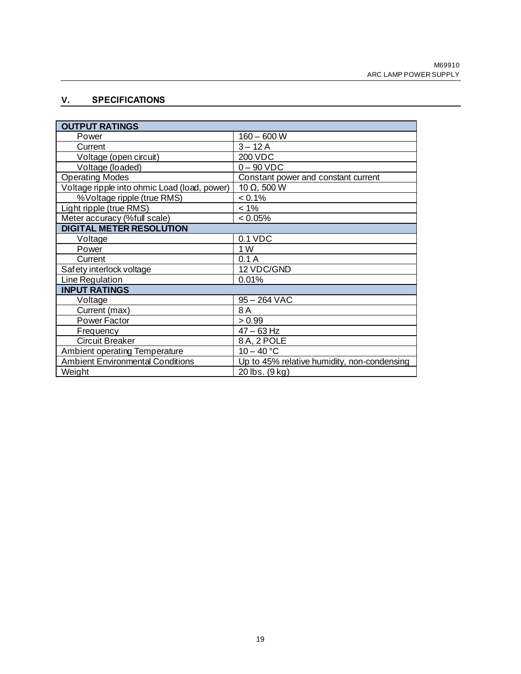## <span id="page-18-0"></span>**V. SPECIFICATIONS**

| <b>OUTPUT RATINGS</b>                        |                                             |
|----------------------------------------------|---------------------------------------------|
| Power                                        | $160 - 600 W$                               |
| Current                                      | $3 - 12A$                                   |
| Voltage (open circuit)                       | 200 VDC                                     |
| Voltage (loaded)                             | $0 - 90$ VDC                                |
| <b>Operating Modes</b>                       | Constant power and constant current         |
| Voltage ripple into ohmic Load (load, power) | 10 $\Omega$ , 500 W                         |
| %Voltage ripple (true RMS)                   | $< 0.1\%$                                   |
| Light ripple (true RMS)                      | $< 1\%$                                     |
| Meter accuracy (%full scale)                 | < 0.05%                                     |
| <b>DIGITAL METER RESOLUTION</b>              |                                             |
| Voltage                                      | $0.1$ VDC                                   |
| Power                                        | 1 W                                         |
| Current                                      | 0.1A                                        |
| Safety interlock voltage                     | 12 VDC/GND                                  |
| Line Regulation                              | 0.01%                                       |
| <b>INPUT RATINGS</b>                         |                                             |
| Voltage                                      | $95 - 264$ VAC                              |
| Current (max)                                | 8A                                          |
| Power Factor                                 | > 0.99                                      |
| Frequency                                    | $47 - 63$ Hz                                |
| Circuit Breaker                              | 8 A, 2 POLE                                 |
| <b>Ambient operating Temperature</b>         | $10 - 40 °C$                                |
| <b>Ambient Environmental Conditions</b>      | Up to 45% relative humidity, non-condensing |
| Weight                                       | 20 lbs. (9 kg)                              |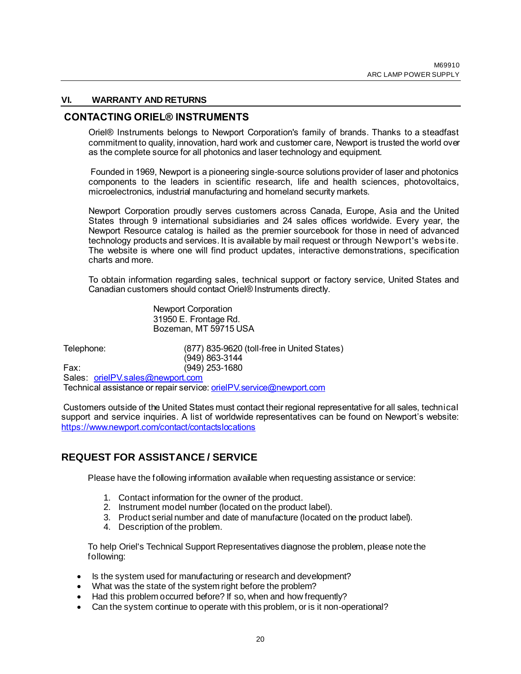#### <span id="page-19-0"></span>**VI. WARRANTY AND RETURNS**

#### **CONTACTING ORIEL® INSTRUMENTS**

Oriel® Instruments belongs to Newport Corporation's family of brands. Thanks to a steadfast commitment to quality, innovation, hard work and customer care, Newport is trusted the world over as the complete source for all photonics and laser technology and equipment.

Founded in 1969, Newport is a pioneering single-source solutions provider of laser and photonics components to the leaders in scientific research, life and health sciences, photovoltaics, microelectronics, industrial manufacturing and homeland security markets.

Newport Corporation proudly serves customers across Canada, Europe, Asia and the United States through 9 international subsidiaries and 24 sales offices worldwide. Every year, the Newport Resource catalog is hailed as the premier sourcebook for those in need of advanced technology products and services. It is available by mail request or through Newport's website. The website is where one will find product updates, interactive demonstrations, specification charts and more.

To obtain information regarding sales, technical support or factory service, United States and Canadian customers should contact Oriel® Instruments directly.

> Newport Corporation 31950 E. Frontage Rd. Bozeman, MT 59715 USA

Telephone: (877) 835-9620 (toll-free in United States) (949) 863-3144 Fax: (949) 253-1680

Sales: [orielPV.sales@newport.com](mailto:orielPV.sales@newport.com) Technical assistance or repair service[: orielPV.service@newport.com](mailto:orielPV.service@newport.com)

Customers outside of the United States must contact their regional representative for all sales, technical support and service inquiries. A list of worldwide representatives can be found on Newport's website: <https://www.newport.com/contact/contactslocations>

## **REQUEST FOR ASSISTANCE / SERVICE**

Please have the following information available when requesting assistance or service:

- 1. Contact information for the owner of the product.
- 2. Instrument model number (located on the product label).
- 3. Product serial number and date of manufacture (located on the product label).
- 4. Description of the problem.

To help Oriel's Technical Support Representatives diagnose the problem, please note the following:

- Is the system used for manufacturing or research and development?
- What was the state of the system right before the problem?
- Had this problem occurred before? If so, when and how frequently?
- Can the system continue to operate with this problem, or is it non-operational?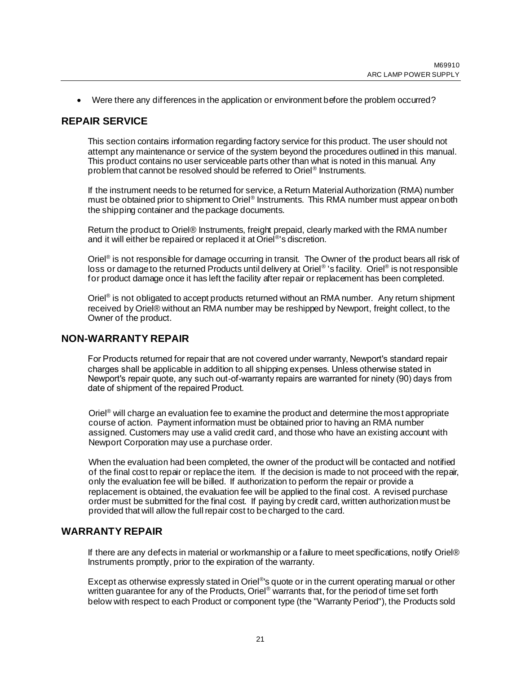• Were there any differences in the application or environment before the problem occurred?

## **REPAIR SERVICE**

This section contains information regarding factory service for this product. The user should not attempt any maintenance or service of the system beyond the procedures outlined in this manual. This product contains no user serviceable parts other than what is noted in this manual. Any problem that cannot be resolved should be referred to Oriel® Instruments.

If the instrument needs to be returned for service, a Return Material Authorization (RMA) number must be obtained prior to shipment to Oriel® Instruments. This RMA number must appear on both the shipping container and the package documents.

Return the product to Oriel® Instruments, freight prepaid, clearly marked with the RMA number and it will either be repaired or replaced it at Oriel®'s discretion.

Oriel<sup>®</sup> is not responsible for damage occurring in transit. The Owner of the product bears all risk of loss or damage to the returned Products until delivery at Oriel® 's facility. Oriel® is not responsible for product damage once it has left the facility after repair or replacement has been completed.

Oriel<sup>®</sup> is not obligated to accept products returned without an RMA number. Any return shipment received by Oriel® without an RMA number may be reshipped by Newport, freight collect, to the Owner of the product.

## **NON-WARRANTY REPAIR**

For Products returned for repair that are not covered under warranty, Newport's standard repair charges shall be applicable in addition to all shipping expenses. Unless otherwise stated in Newport's repair quote, any such out-of-warranty repairs are warranted for ninety (90) days from date of shipment of the repaired Product.

Oriel<sup>®</sup> will charge an evaluation fee to examine the product and determine the most appropriate course of action. Payment information must be obtained prior to having an RMA number assigned. Customers may use a valid credit card, and those who have an existing account with Newport Corporation may use a purchase order.

When the evaluation had been completed, the owner of the product will be contacted and notified of the final cost to repair or replace the item. If the decision is made to not proceed with the repair, only the evaluation fee will be billed. If authorization to perform the repair or provide a replacement is obtained, the evaluation fee will be applied to the final cost. A revised purchase order must be submitted for the final cost. If paying by credit card, written authorization must be provided that will allow the full repair cost to be charged to the card.

## **WARRANTY REPAIR**

If there are any defects in material or workmanship or a failure to meet specifications, notify Oriel® Instruments promptly, prior to the expiration of the warranty.

Except as otherwise expressly stated in Oriel®'s quote or in the current operating manual or other written guarantee for any of the Products, Oriel<sup>®</sup> warrants that, for the period of time set forth below with respect to each Product or component type (the "Warranty Period"), the Products sold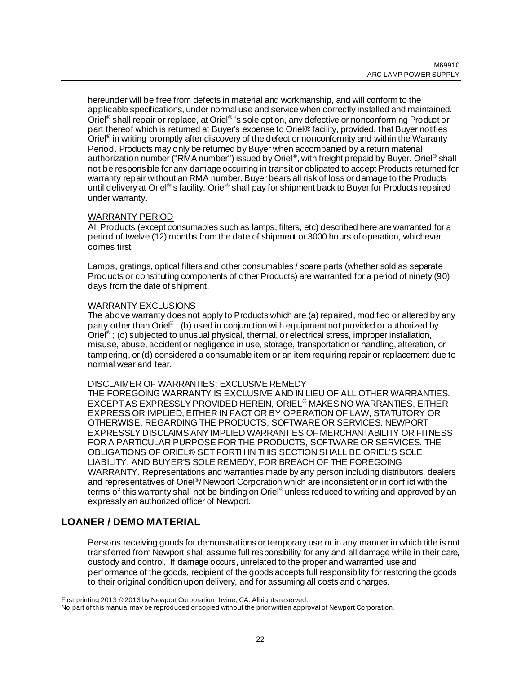hereunder will be free from defects in material and workmanship, and will conform to the applicable specifications, under normal use and service when correctly installed and maintained. Oriel® shall repair or replace, at Oriel® 's sole option, any defective or nonconforming Product or part thereof which is returned at Buyer's expense to Oriel® facility, provided, that Buyer notifies Oriel® in writing promptly after discovery of the defect or nonconformity and within the Warranty Period. Products may only be returned by Buyer when accompanied by a return material authorization number ("RMA number") issued by Oriel®, with freight prepaid by Buyer. Oriel® shall not be responsible for any damage occurring in transit or obligated to accept Products returned for warranty repair without an RMA number. Buyer bears all risk of loss or damage to the Products until delivery at Oriel<sup>®</sup>'s facility. Oriel<sup>®</sup> shall pay for shipment back to Buyer for Products repaired under warranty.

## WARRANTY PERIOD

All Products (except consumables such as lamps, filters, etc) described here are warranted for a period of twelve (12) months from the date of shipment or 3000 hours of operation, whichever comes first.

Lamps, gratings, optical filters and other consumables / spare parts (whether sold as separate Products or constituting components of other Products) are warranted for a period of ninety (90) days from the date of shipment.

## WARRANTY EXCLUSIONS

The above warranty does not apply to Products which are (a) repaired, modified or altered by any party other than Oriel®; (b) used in conjunction with equipment not provided or authorized by Oriel<sup>®</sup>; (c) subjected to unusual physical, thermal, or electrical stress, improper installation, misuse, abuse, accident or negligence in use, storage, transportation or handling, alteration, or tampering, or (d) considered a consumable item or an item requiring repair or replacement due to normal wear and tear.

#### DISCLAIMER OF WARRANTIES; EXCLUSIVE REMEDY

THE FOREGOING WARRANTY IS EXCLUSIVE AND IN LIEU OF ALL OTHER WARRANTIES. EXCEPT AS EXPRESSLY PROVIDED HEREIN, ORIEL® MAKES NO WARRANTIES, EITHER EXPRESS OR IMPLIED, EITHER IN FACT OR BY OPERATION OF LAW, STATUTORY OR OTHERWISE, REGARDING THE PRODUCTS, SOFTWARE OR SERVICES. NEWPORT EXPRESSLY DISCLAIMS ANY IMPLIED WARRANTIES OF MERCHANTABILITY OR FITNESS FOR A PARTICULAR PURPOSE FOR THE PRODUCTS, SOFTWARE OR SERVICES. THE OBLIGATIONS OF ORIEL® SET FORTH IN THIS SECTION SHALL BE ORIEL'S SOLE LIABILITY, AND BUYER'S SOLE REMEDY, FOR BREACH OF THE FOREGOING WARRANTY. Representations and warranties made by any person including distributors, dealers and representatives of Oriel®/Newport Corporation which are inconsistent or in conflict with the terms of this warranty shall not be binding on Oriel<sup>®</sup> unless reduced to writing and approved by an expressly an authorized officer of Newport.

## **LOANER / DEMO MATERIAL**

Persons receiving goods for demonstrations or temporary use or in any manner in which title is not transferred from Newport shall assume full responsibility for any and all damage while in their care, custody and control. If damage occurs, unrelated to the proper and warranted use and performance of the goods, recipient of the goods accepts full responsibility for restoring the goods to their original condition upon delivery, and for assuming all costs and charges.